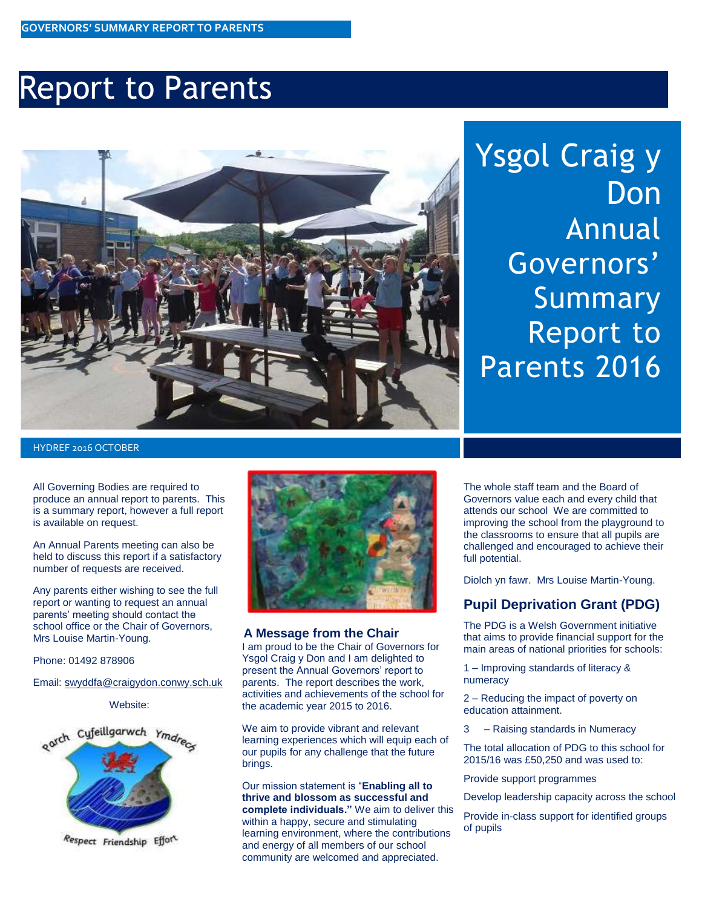### Report to Parents



# Ysgol Craig y **Don** Annual Governors' Summary Report to Parents 2016

HYDREF 2016 OCTOBER

All Governing Bodies are required to produce an annual report to parents. This is a summary report, however a full report is available on request.

An Annual Parents meeting can also be held to discuss this report if a satisfactory number of requests are received.

Any parents either wishing to see the full report or wanting to request an annual parents' meeting should contact the school office or the Chair of Governors, Mrs Louise Martin-Young.

Phone: 01492 878906

Email: [swyddfa@craigydon.conwy.sch.uk](mailto:swyddfa@craigydon.conwy.sch.uk)

Website:



Respect Friendship Effort



#### **A Message from the Chair**

I am proud to be the Chair of Governors for Ysgol Craig y Don and I am delighted to present the Annual Governors' report to parents. The report describes the work, activities and achievements of the school for the academic year 2015 to 2016.

We aim to provide vibrant and relevant learning experiences which will equip each of our pupils for any challenge that the future brings.

Our mission statement is "**Enabling all to thrive and blossom as successful and complete individuals."** We aim to deliver this within a happy, secure and stimulating learning environment, where the contributions and energy of all members of our school community are welcomed and appreciated.

challenged and encouraged to achieve their<br>full potential. The whole staff team and the Board of Governors value each and every child that attends our school We are committed to improving the school from the playground to the classrooms to ensure that all pupils are full potential.

Diolch yn fawr. Mrs Louise Martin-Young.

#### **Pupil Deprivation Grant (PDG)**

The PDG is a Welsh Government initiative that aims to provide financial support for the main areas of national priorities for schools:

1 – Improving standards of literacy & numeracy

2 – Reducing the impact of poverty on education attainment.

3 – Raising standards in Numeracy

The total allocation of PDG to this school for 2015/16 was £50,250 and was used to:

Provide support programmes

Develop leadership capacity across the school

Provide in-class support for identified groups of pupils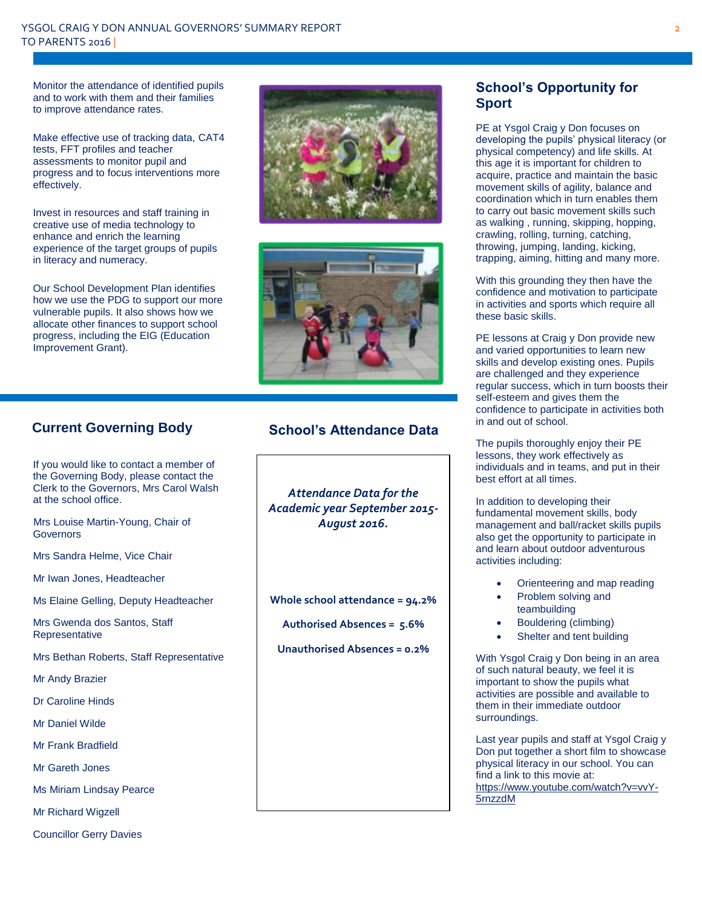Monitor the attendance of identified pupils and to work with them and their families to improve attendance rates.

Make effective use of tracking data, CAT4 tests, FFT profiles and teacher assessments to monitor pupil and progress and to focus interventions more effectively.

Invest in resources and staff training in creative use of media technology to enhance and enrich the learning experience of the target groups of pupils in literacy and numeracy.

Our School Development Plan identifies how we use the PDG to support our more vulnerable pupils. It also shows how we allocate other finances to support school progress, including the EIG (Education Improvement Grant).





### **Current Governing Body**

If you would like to contact a member of the Governing Body, please contact the Clerk to the Governors, Mrs Carol Walsh at the school office.

 Mrs Louise Martin-Young, Chair of **Governors** 

Mrs Sandra Helme, Vice Chair

Mr Iwan Jones, Headteacher

Ms Elaine Gelling, Deputy Headteacher

Mrs Gwenda dos Santos, Staff Representative

Mrs Bethan Roberts, Staff Representative

Mr Andy Brazier

Dr Caroline Hinds

Mr Daniel Wilde

Mr Frank Bradfield

Mr Gareth Jones

Ms Miriam Lindsay Pearce

Mr Richard Wigzell

Councillor Gerry Davies

#### **School's Attendance Data**

*Attendance Data for the Academic year September 2015- August 2016.*

**Whole school attendance = 94.2%**

**Authorised Absences = 5.6%**

**Unauthorised Absences = 0.2%**

#### **School's Opportunity for Sport**

PE at Ysgol Craig y Don focuses on developing the pupils' physical literacy (or physical competency) and life skills. At this age it is important for children to acquire, practice and maintain the basic movement skills of agility, balance and coordination which in turn enables them to carry out basic movement skills such as walking , running, skipping, hopping, crawling, rolling, turning, catching, throwing, jumping, landing, kicking, trapping, aiming, hitting and many more.

With this grounding they then have the confidence and motivation to participate in activities and sports which require all these basic skills.

PE lessons at Craig y Don provide new and varied opportunities to learn new skills and develop existing ones. Pupils are challenged and they experience regular success, which in turn boosts their self-esteem and gives them the confidence to participate in activities both in and out of school.

The pupils thoroughly enjoy their PE lessons, they work effectively as individuals and in teams, and put in their best effort at all times.

In addition to developing their fundamental movement skills, body management and ball/racket skills pupils also get the opportunity to participate in and learn about outdoor adventurous activities including:

- Orienteering and map reading
- Problem solving and teambuilding
- Bouldering (climbing)
- Shelter and tent building

With Ysgol Craig y Don being in an area of such natural beauty, we feel it is important to show the pupils what activities are possible and available to them in their immediate outdoor surroundings.

Last year pupils and staff at Ysgol Craig y Don put together a short film to showcase physical literacy in our school. You can find a link to this movie at: [https://www.youtube.com/watch?v=vvY-](https://www.youtube.com/watch?v=vvY-5rnzzdM)[5rnzzdM](https://www.youtube.com/watch?v=vvY-5rnzzdM)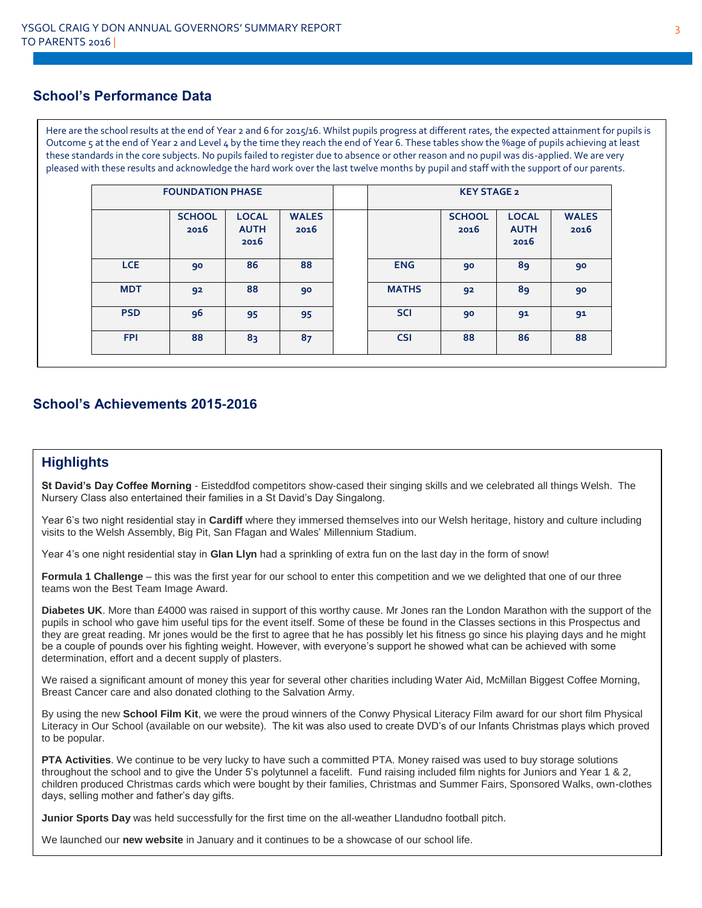#### **School's Performance Data**

Here are the school results at the end of Year 2 and 6 for 2015/16. Whilst pupils progress at different rates, the expected attainment for pupils is Outcome 5 at the end of Year 2 and Level 4 by the time they reach the end of Year 6. These tables show the %age of pupils achieving at least these standards in the core subjects. No pupils failed to register due to absence or other reason and no pupil was dis-applied. We are very pleased with these results and acknowledge the hard work over the last twelve months by pupil and staff with the support of our parents.

|            | <b>FOUNDATION PHASE</b> |                                     |                      |  | <b>KEY STAGE 2</b> |                       |                                     |                      |
|------------|-------------------------|-------------------------------------|----------------------|--|--------------------|-----------------------|-------------------------------------|----------------------|
|            | <b>SCHOOL</b><br>2016   | <b>LOCAL</b><br><b>AUTH</b><br>2016 | <b>WALES</b><br>2016 |  |                    | <b>SCHOOL</b><br>2016 | <b>LOCAL</b><br><b>AUTH</b><br>2016 | <b>WALES</b><br>2016 |
| <b>LCE</b> | 90                      | 86                                  | 88                   |  | <b>ENG</b>         | 90                    | 89                                  | 90                   |
| <b>MDT</b> | 92                      | 88                                  | 90                   |  | <b>MATHS</b>       | 92                    | 89                                  | 90                   |
| <b>PSD</b> | 96                      | 95                                  | 95                   |  | <b>SCI</b>         | 90                    | 91                                  | 91                   |
| <b>FPI</b> | 88                      | 83                                  | 87                   |  | <b>CSI</b>         | 88                    | 86                                  | 88                   |

#### **School's Achievements 2015-2016**

#### **Highlights**

**St David's Day Coffee Morning** - Eisteddfod competitors show-cased their singing skills and we celebrated all things Welsh. The Nursery Class also entertained their families in a St David's Day Singalong.

Year 6's two night residential stay in **Cardiff** where they immersed themselves into our Welsh heritage, history and culture including visits to the Welsh Assembly, Big Pit, San Ffagan and Wales' Millennium Stadium.

Year 4's one night residential stay in **Glan Llyn** had a sprinkling of extra fun on the last day in the form of snow!

**Formula 1 Challenge** – this was the first year for our school to enter this competition and we we delighted that one of our three teams won the Best Team Image Award.

**Diabetes UK**. More than £4000 was raised in support of this worthy cause. Mr Jones ran the London Marathon with the support of the pupils in school who gave him useful tips for the event itself. Some of these be found in the Classes sections in this Prospectus and they are great reading. Mr jones would be the first to agree that he has possibly let his fitness go since his playing days and he might be a couple of pounds over his fighting weight. However, with everyone's support he showed what can be achieved with some determination, effort and a decent supply of plasters.

We raised a significant amount of money this year for several other charities including Water Aid, McMillan Biggest Coffee Morning, Breast Cancer care and also donated clothing to the Salvation Army.

By using the new **School Film Kit**, we were the proud winners of the Conwy Physical Literacy Film award for our short film Physical Literacy in Our School (available on our website). The kit was also used to create DVD's of our Infants Christmas plays which proved to be popular.

**PTA Activities**. We continue to be very lucky to have such a committed PTA. Money raised was used to buy storage solutions throughout the school and to give the Under 5's polytunnel a facelift. Fund raising included film nights for Juniors and Year 1 & 2, children produced Christmas cards which were bought by their families, Christmas and Summer Fairs, Sponsored Walks, own-clothes days, selling mother and father's day gifts.

**Junior Sports Day** was held successfully for the first time on the all-weather Llandudno football pitch.

We launched our **new website** in January and it continues to be a showcase of our school life.